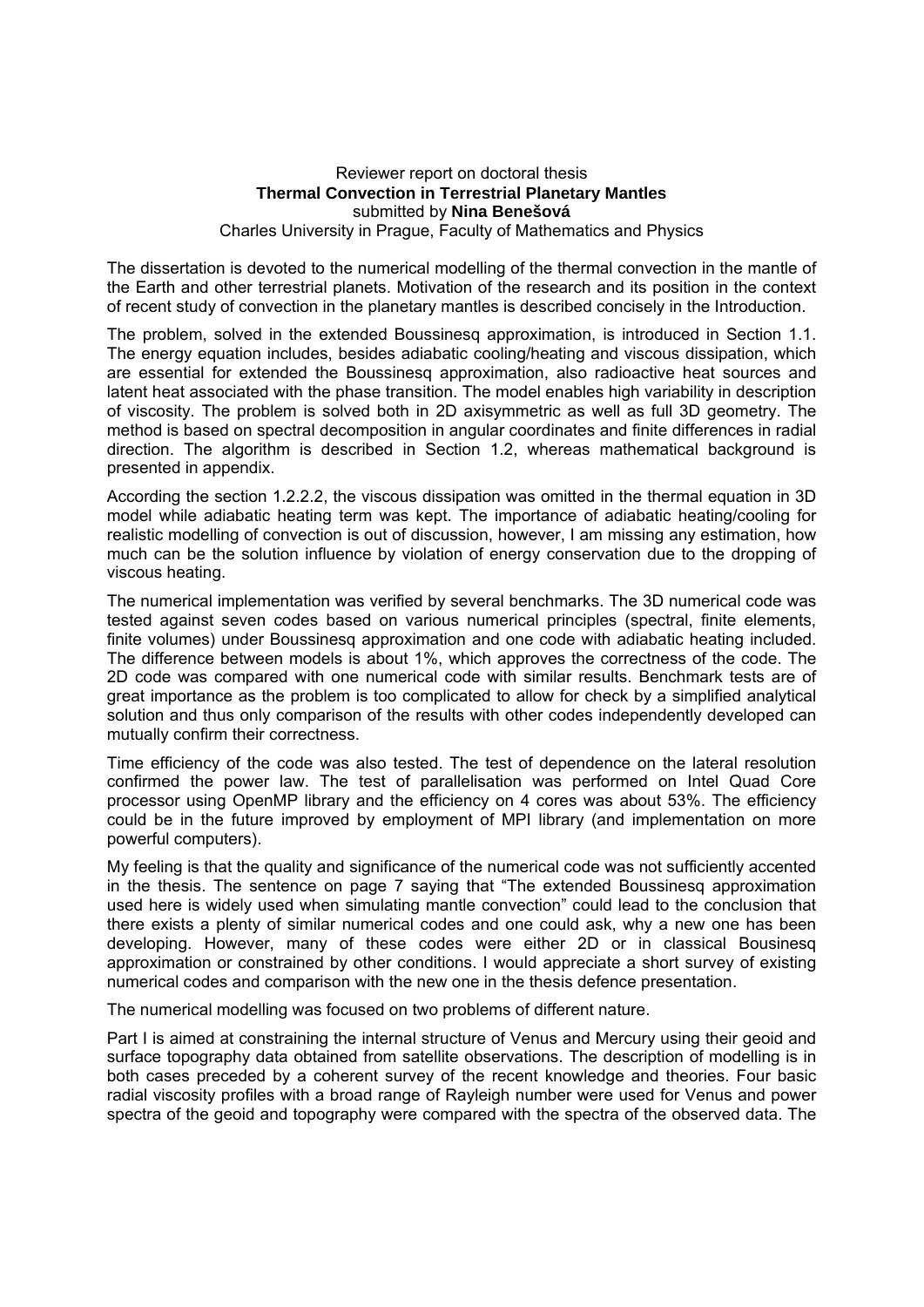## Reviewer report on doctoral thesis **Thermal Convection in Terrestrial Planetary Mantles**  submitted by **Nina Benešová**  Charles University in Prague, Faculty of Mathematics and Physics

The dissertation is devoted to the numerical modelling of the thermal convection in the mantle of the Earth and other terrestrial planets. Motivation of the research and its position in the context of recent study of convection in the planetary mantles is described concisely in the Introduction.

The problem, solved in the extended Boussinesq approximation, is introduced in Section 1.1. The energy equation includes, besides adiabatic cooling/heating and viscous dissipation, which are essential for extended the Boussinesq approximation, also radioactive heat sources and latent heat associated with the phase transition. The model enables high variability in description of viscosity. The problem is solved both in 2D axisymmetric as well as full 3D geometry. The method is based on spectral decomposition in angular coordinates and finite differences in radial direction. The algorithm is described in Section 1.2, whereas mathematical background is presented in appendix.

According the section 1.2.2.2, the viscous dissipation was omitted in the thermal equation in 3D model while adiabatic heating term was kept. The importance of adiabatic heating/cooling for realistic modelling of convection is out of discussion, however, I am missing any estimation, how much can be the solution influence by violation of energy conservation due to the dropping of viscous heating.

The numerical implementation was verified by several benchmarks. The 3D numerical code was tested against seven codes based on various numerical principles (spectral, finite elements, finite volumes) under Boussinesq approximation and one code with adiabatic heating included. The difference between models is about 1%, which approves the correctness of the code. The 2D code was compared with one numerical code with similar results. Benchmark tests are of great importance as the problem is too complicated to allow for check by a simplified analytical solution and thus only comparison of the results with other codes independently developed can mutually confirm their correctness.

Time efficiency of the code was also tested. The test of dependence on the lateral resolution confirmed the power law. The test of parallelisation was performed on Intel Quad Core processor using OpenMP library and the efficiency on 4 cores was about 53%. The efficiency could be in the future improved by employment of MPI library (and implementation on more powerful computers).

My feeling is that the quality and significance of the numerical code was not sufficiently accented in the thesis. The sentence on page 7 saying that "The extended Boussinesq approximation used here is widely used when simulating mantle convection" could lead to the conclusion that there exists a plenty of similar numerical codes and one could ask, why a new one has been developing. However, many of these codes were either 2D or in classical Bousinesq approximation or constrained by other conditions. I would appreciate a short survey of existing numerical codes and comparison with the new one in the thesis defence presentation.

The numerical modelling was focused on two problems of different nature.

Part I is aimed at constraining the internal structure of Venus and Mercury using their geoid and surface topography data obtained from satellite observations. The description of modelling is in both cases preceded by a coherent survey of the recent knowledge and theories. Four basic radial viscosity profiles with a broad range of Rayleigh number were used for Venus and power spectra of the geoid and topography were compared with the spectra of the observed data. The